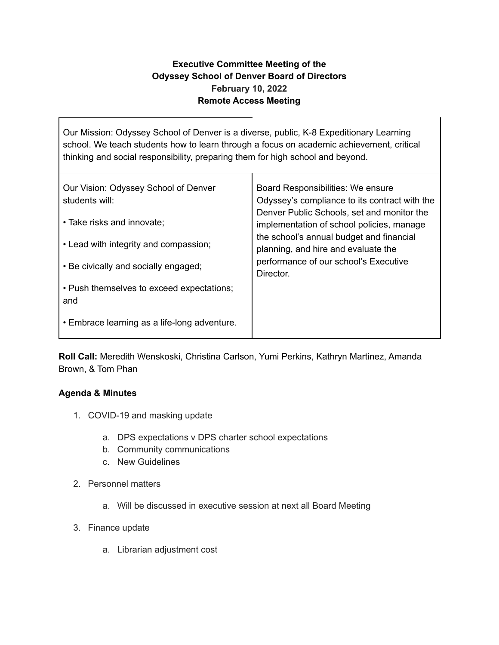## **Executive Committee Meeting of the Odyssey School of Denver Board of Directors February 10, 2022 Remote Access Meeting**

Our Mission: Odyssey School of Denver is a diverse, public, K-8 Expeditionary Learning school. We teach students how to learn through a focus on academic achievement, critical thinking and social responsibility, preparing them for high school and beyond.

| Our Vision: Odyssey School of Denver             | Board Responsibilities: We ensure                                                                                                                                                  |
|--------------------------------------------------|------------------------------------------------------------------------------------------------------------------------------------------------------------------------------------|
| students will:<br>• Take risks and innovate;     | Odyssey's compliance to its contract with the<br>Denver Public Schools, set and monitor the                                                                                        |
| • Lead with integrity and compassion;            | implementation of school policies, manage<br>the school's annual budget and financial<br>planning, and hire and evaluate the<br>performance of our school's Executive<br>Director. |
| • Be civically and socially engaged;             |                                                                                                                                                                                    |
| • Push themselves to exceed expectations;<br>and |                                                                                                                                                                                    |
| • Embrace learning as a life-long adventure.     |                                                                                                                                                                                    |

**Roll Call:** Meredith Wenskoski, Christina Carlson, Yumi Perkins, Kathryn Martinez, Amanda Brown, & Tom Phan

## **Agenda & Minutes**

- 1. COVID-19 and masking update
	- a. DPS expectations v DPS charter school expectations
	- b. Community communications
	- c. New Guidelines
- 2. Personnel matters
	- a. Will be discussed in executive session at next all Board Meeting
- 3. Finance update
	- a. Librarian adjustment cost